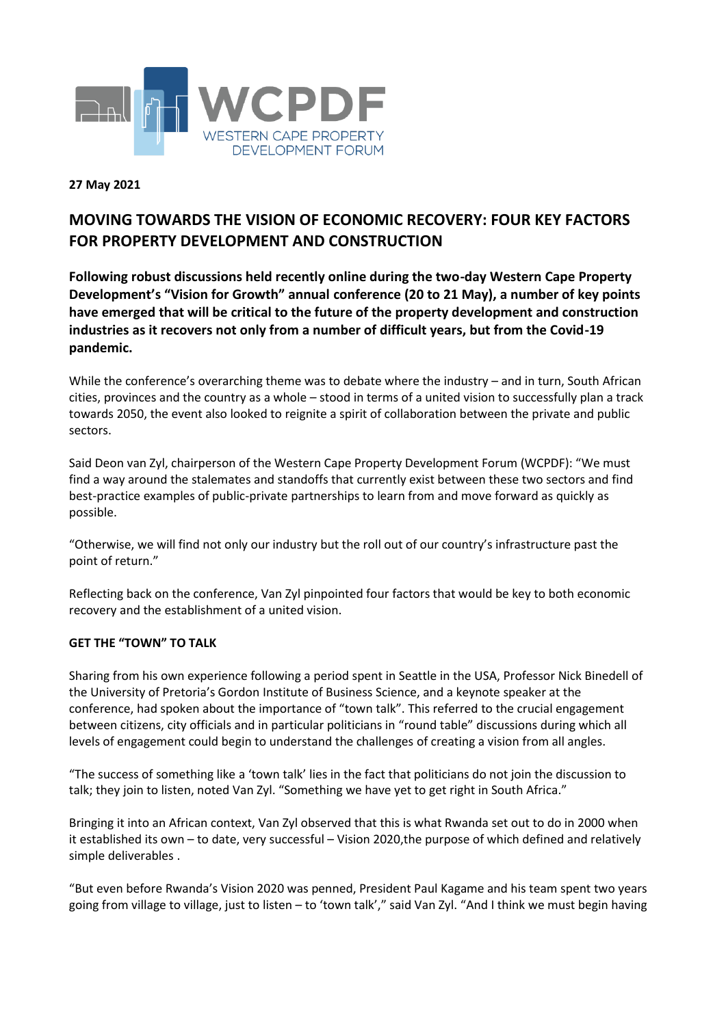

# **27 May 2021**

# **MOVING TOWARDS THE VISION OF ECONOMIC RECOVERY: FOUR KEY FACTORS FOR PROPERTY DEVELOPMENT AND CONSTRUCTION**

**Following robust discussions held recently online during the two-day Western Cape Property Development's "Vision for Growth" annual conference (20 to 21 May), a number of key points have emerged that will be critical to the future of the property development and construction industries as it recovers not only from a number of difficult years, but from the Covid-19 pandemic.**

While the conference's overarching theme was to debate where the industry – and in turn, South African cities, provinces and the country as a whole – stood in terms of a united vision to successfully plan a track towards 2050, the event also looked to reignite a spirit of collaboration between the private and public sectors.

Said Deon van Zyl, chairperson of the Western Cape Property Development Forum (WCPDF): "We must find a way around the stalemates and standoffs that currently exist between these two sectors and find best-practice examples of public-private partnerships to learn from and move forward as quickly as possible.

"Otherwise, we will find not only our industry but the roll out of our country's infrastructure past the point of return."

Reflecting back on the conference, Van Zyl pinpointed four factors that would be key to both economic recovery and the establishment of a united vision.

### **GET THE "TOWN" TO TALK**

Sharing from his own experience following a period spent in Seattle in the USA, Professor Nick Binedell of the University of Pretoria's Gordon Institute of Business Science, and a keynote speaker at the conference, had spoken about the importance of "town talk". This referred to the crucial engagement between citizens, city officials and in particular politicians in "round table" discussions during which all levels of engagement could begin to understand the challenges of creating a vision from all angles.

"The success of something like a 'town talk' lies in the fact that politicians do not join the discussion to talk; they join to listen, noted Van Zyl. "Something we have yet to get right in South Africa."

Bringing it into an African context, Van Zyl observed that this is what Rwanda set out to do in 2000 when it established its own – to date, very successful – Vision 2020,the purpose of which defined and relatively simple deliverables .

"But even before Rwanda's Vision 2020 was penned, President Paul Kagame and his team spent two years going from village to village, just to listen – to 'town talk'," said Van Zyl. "And I think we must begin having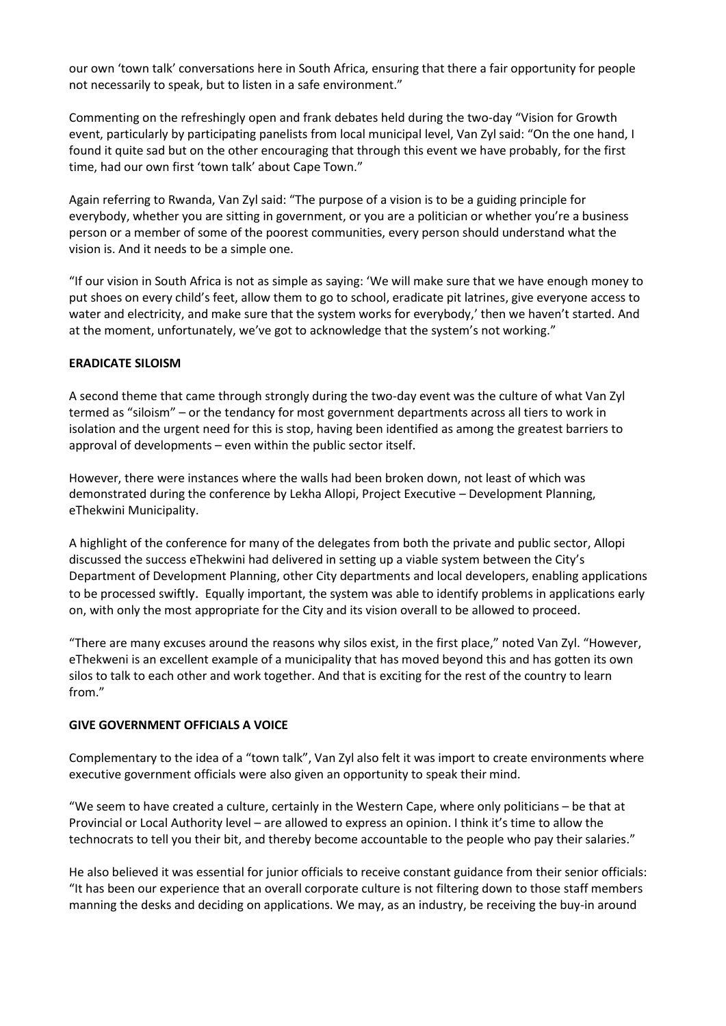our own 'town talk' conversations here in South Africa, ensuring that there a fair opportunity for people not necessarily to speak, but to listen in a safe environment."

Commenting on the refreshingly open and frank debates held during the two-day "Vision for Growth event, particularly by participating panelists from local municipal level, Van Zyl said: "On the one hand, I found it quite sad but on the other encouraging that through this event we have probably, for the first time, had our own first 'town talk' about Cape Town."

Again referring to Rwanda, Van Zyl said: "The purpose of a vision is to be a guiding principle for everybody, whether you are sitting in government, or you are a politician or whether you're a business person or a member of some of the poorest communities, every person should understand what the vision is. And it needs to be a simple one.

"If our vision in South Africa is not as simple as saying: 'We will make sure that we have enough money to put shoes on every child's feet, allow them to go to school, eradicate pit latrines, give everyone access to water and electricity, and make sure that the system works for everybody,' then we haven't started. And at the moment, unfortunately, we've got to acknowledge that the system's not working."

### **ERADICATE SILOISM**

A second theme that came through strongly during the two-day event was the culture of what Van Zyl termed as "siloism" – or the tendancy for most government departments across all tiers to work in isolation and the urgent need for this is stop, having been identified as among the greatest barriers to approval of developments – even within the public sector itself.

However, there were instances where the walls had been broken down, not least of which was demonstrated during the conference by Lekha Allopi, Project Executive – Development Planning, eThekwini Municipality.

A highlight of the conference for many of the delegates from both the private and public sector, Allopi discussed the success eThekwini had delivered in setting up a viable system between the City's Department of Development Planning, other City departments and local developers, enabling applications to be processed swiftly. Equally important, the system was able to identify problems in applications early on, with only the most appropriate for the City and its vision overall to be allowed to proceed.

"There are many excuses around the reasons why silos exist, in the first place," noted Van Zyl. "However, eThekweni is an excellent example of a municipality that has moved beyond this and has gotten its own silos to talk to each other and work together. And that is exciting for the rest of the country to learn from"

### **GIVE GOVERNMENT OFFICIALS A VOICE**

Complementary to the idea of a "town talk", Van Zyl also felt it was import to create environments where executive government officials were also given an opportunity to speak their mind.

"We seem to have created a culture, certainly in the Western Cape, where only politicians – be that at Provincial or Local Authority level – are allowed to express an opinion. I think it's time to allow the technocrats to tell you their bit, and thereby become accountable to the people who pay their salaries."

He also believed it was essential for junior officials to receive constant guidance from their senior officials: "It has been our experience that an overall corporate culture is not filtering down to those staff members manning the desks and deciding on applications. We may, as an industry, be receiving the buy-in around